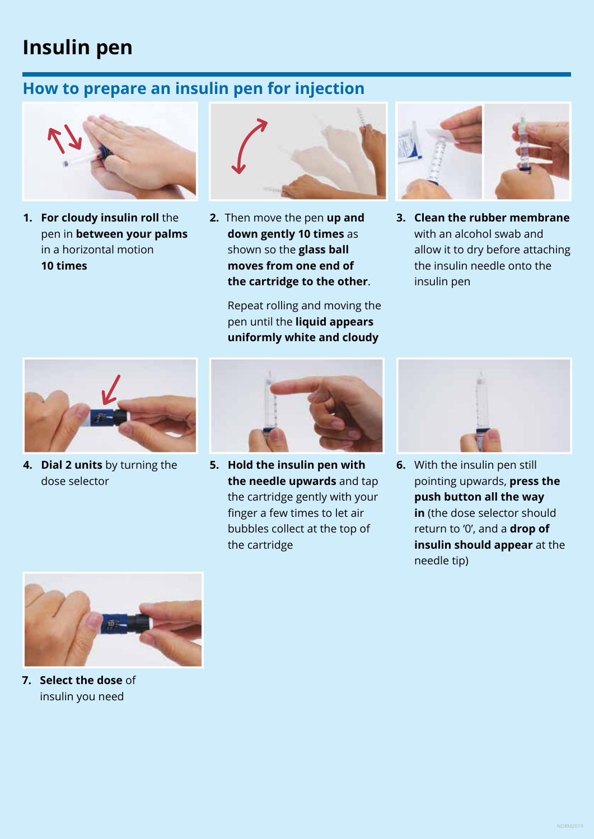## **Insulin pen**

## **How to prepare an insulin pen for injection**



**1. For cloudy insulin roll** the pen in **between your palms** in a horizontal motion **10 times**



**2.** Then move the pen **up and down gently 10 times** as shown so the **glass ball moves from one end of the cartridge to the other**.

> Repeat rolling and moving the pen until the **liquid appears uniformly white and cloudy**



**3. Clean the rubber membrane**  with an alcohol swab and allow it to dry before attaching the insulin needle onto the insulin pen



**4. Dial 2 units** by turning the dose selector



**5. Hold the insulin pen with the needle upwards** and tap the cartridge gently with your finger a few times to let air bubbles collect at the top of the cartridge



**6.** With the insulin pen still pointing upwards, **press the push button all the way in** (the dose selector should return to '0', and a **drop of insulin should appear** at the needle tip)



**7. Select the dose** of insulin you need